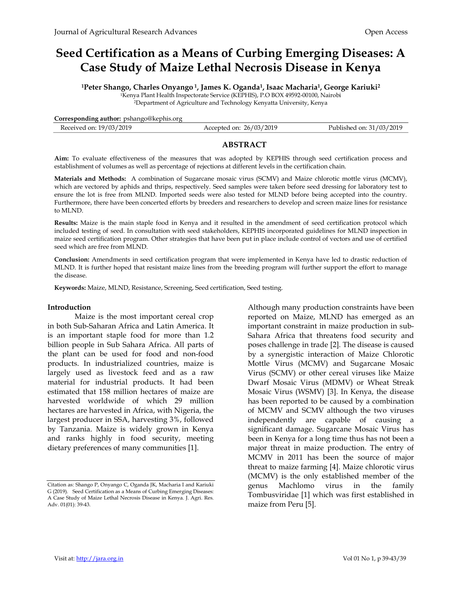# Seed Certification as a Means of Curbing Emerging Diseases: A Case Study of Maize Lethal Necrosis Disease in Kenya

<sup>1</sup>Peter Shango, Charles Onyango <sup>1</sup>, James K. Oganda<sup>1</sup>, Isaac Macharia<sup>1</sup>, George Kariuki<sup>2</sup>

<sup>1</sup>Kenya Plant Health Inspectorate Service (KEPHIS), P.O BOX 49592-00100, Nairobi

<sup>2</sup>Department of Agriculture and Technology Kenyatta University, Kenya

| Corresponding author: pshango@kephis.org |                         |                          |
|------------------------------------------|-------------------------|--------------------------|
| Received on: 19/03/2019                  | Accepted on: 26/03/2019 | Published on: 31/03/2019 |

### ABSTRACT

Aim: To evaluate effectiveness of the measures that was adopted by KEPHIS through seed certification process and establishment of volumes as well as percentage of rejections at different levels in the certification chain.

Materials and Methods: A combination of Sugarcane mosaic virus (SCMV) and Maize chlorotic mottle virus (MCMV), which are vectored by aphids and thrips, respectively. Seed samples were taken before seed dressing for laboratory test to ensure the lot is free from MLND. Imported seeds were also tested for MLND before being accepted into the country. Furthermore, there have been concerted efforts by breeders and researchers to develop and screen maize lines for resistance to MLND.

Results: Maize is the main staple food in Kenya and it resulted in the amendment of seed certification protocol which included testing of seed. In consultation with seed stakeholders, KEPHIS incorporated guidelines for MLND inspection in maize seed certification program. Other strategies that have been put in place include control of vectors and use of certified seed which are free from MLND.

Conclusion: Amendments in seed certification program that were implemented in Kenya have led to drastic reduction of MLND. It is further hoped that resistant maize lines from the breeding program will further support the effort to manage the disease.

Keywords: Maize, MLND, Resistance, Screening, Seed certification, Seed testing.

#### Introduction

Maize is the most important cereal crop in both Sub-Saharan Africa and Latin America. It is an important staple food for more than 1.2 billion people in Sub Sahara Africa. All parts of the plant can be used for food and non-food products. In industrialized countries, maize is largely used as livestock feed and as a raw material for industrial products. It had been estimated that 158 million hectares of maize are harvested worldwide of which 29 million hectares are harvested in Africa, with Nigeria, the largest producer in SSA, harvesting 3%, followed by Tanzania. Maize is widely grown in Kenya and ranks highly in food security, meeting dietary preferences of many communities [1].

Although many production constraints have been reported on Maize, MLND has emerged as an important constraint in maize production in sub-Sahara Africa that threatens food security and poses challenge in trade [2]. The disease is caused by a synergistic interaction of Maize Chlorotic Mottle Virus (MCMV) and Sugarcane Mosaic Virus (SCMV) or other cereal viruses like Maize Dwarf Mosaic Virus (MDMV) or Wheat Streak Mosaic Virus (WSMV) [3]. In Kenya, the disease has been reported to be caused by a combination of MCMV and SCMV although the two viruses independently are capable of causing a significant damage. Sugarcane Mosaic Virus has been in Kenya for a long time thus has not been a major threat in maize production. The entry of MCMV in 2011 has been the source of major threat to maize farming [4]. Maize chlorotic virus (MCMV) is the only established member of the genus Machlomo virus in the family Tombusviridae [1] which was first established in maize from Peru [5].

Citation as: Shango P, Onyango C, Oganda JK, Macharia I and Kariuki G (2019). Seed Certification as a Means of Curbing Emerging Diseases: A Case Study of Maize Lethal Necrosis Disease in Kenya. J. Agri. Res. Adv. 01(01): 39-43.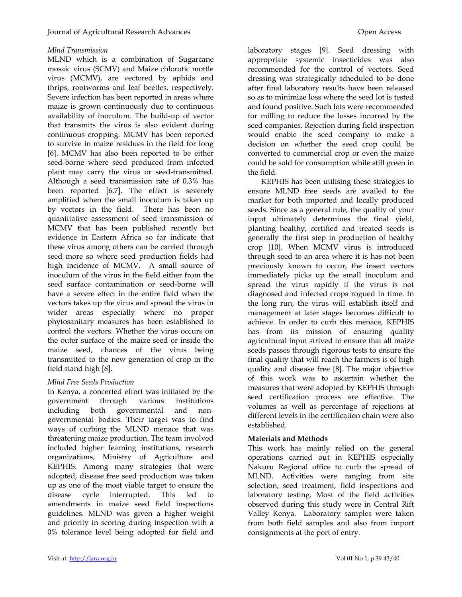# Mlnd Transmission

MLND which is a combination of Sugarcane mosaic virus (SCMV) and Maize chlorotic mottle virus (MCMV), are vectored by aphids and thrips, rootworms and leaf beetles, respectively. Severe infection has been reported in areas where maize is grown continuously due to continuous availability of inoculum. The build-up of vector that transmits the virus is also evident during continuous cropping. MCMV has been reported to survive in maize residues in the field for long [6]. MCMV has also been reported to be either seed-borne where seed produced from infected plant may carry the virus or seed-transmitted. Although a seed transmission rate of 0.3% has been reported [6,7]. The effect is severely amplified when the small inoculum is taken up by vectors in the field. There has been no quantitative assessment of seed transmission of MCMV that has been published recently but evidence in Eastern Africa so far indicate that these virus among others can be carried through seed more so where seed production fields had high incidence of MCMV. A small source of inoculum of the virus in the field either from the seed surface contamination or seed-borne will have a severe effect in the entire field when the vectors takes up the virus and spread the virus in wider areas especially where no proper phytosanitary measures has been established to control the vectors. Whether the virus occurs on the outer surface of the maize seed or inside the maize seed, chances of the virus being transmitted to the new generation of crop in the field stand high [8].

# Mlnd Free Seeds Production

In Kenya, a concerted effort was initiated by the government through various institutions including both governmental and nongovernmental bodies. Their target was to find ways of curbing the MLND menace that was threatening maize production. The team involved included higher learning institutions, research organizations, Ministry of Agriculture and KEPHIS. Among many strategies that were adopted, disease free seed production was taken up as one of the most viable target to ensure the disease cycle interrupted. This led to amendments in maize seed field inspections guidelines. MLND was given a higher weight and priority in scoring during inspection with a 0% tolerance level being adopted for field and laboratory stages [9]. Seed dressing with appropriate systemic insecticides was also recommended for the control of vectors. Seed dressing was strategically scheduled to be done after final laboratory results have been released so as to minimize loss where the seed lot is tested and found positive. Such lots were recommended for milling to reduce the losses incurred by the seed companies. Rejection during field inspection would enable the seed company to make a decision on whether the seed crop could be converted to commercial crop or even the maize could be sold for consumption while still green in the field.

KEPHIS has been utilising these strategies to ensure MLND free seeds are availed to the market for both imported and locally produced seeds. Since as a general rule, the quality of your input ultimately determines the final yield, planting healthy, certified and treated seeds is generally the first step in production of healthy crop [10]. When MCMV virus is introduced through seed to an area where it is has not been previously known to occur, the insect vectors immediately picks up the small inoculum and spread the virus rapidly if the virus is not diagnosed and infected crops rogued in time. In the long run, the virus will establish itself and management at later stages becomes difficult to achieve. In order to curb this menace, KEPHIS has from its mission of ensuring quality agricultural input strived to ensure that all maize seeds passes through rigorous tests to ensure the final quality that will reach the farmers is of high quality and disease free [8]. The major objective of this work was to ascertain whether the measures that were adopted by KEPHIS through seed certification process are effective. The volumes as well as percentage of rejections at different levels in the certification chain were also established.

## Materials and Methods

This work has mainly relied on the general operations carried out in KEPHIS especially Nakuru Regional office to curb the spread of MLND. Activities were ranging from site selection, seed treatment, field inspections and laboratory testing. Most of the field activities observed during this study were in Central Rift Valley Kenya. Laboratory samples were taken from both field samples and also from import consignments at the port of entry.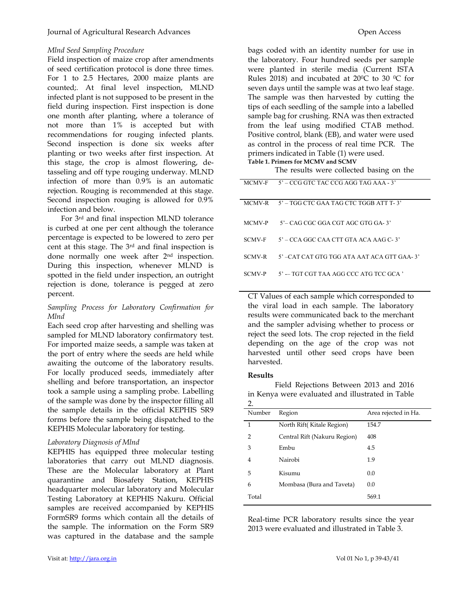### Mlnd Seed Sampling Procedure

Field inspection of maize crop after amendments of seed certification protocol is done three times. For 1 to 2.5 Hectares, 2000 maize plants are counted;. At final level inspection, MLND infected plant is not supposed to be present in the field during inspection. First inspection is done one month after planting, where a tolerance of not more than 1% is accepted but with recommendations for rouging infected plants. Second inspection is done six weeks after planting or two weeks after first inspection. At this stage, the crop is almost flowering, detasseling and off type rouging underway. MLND infection of more than 0.9% is an automatic rejection. Rouging is recommended at this stage. Second inspection rouging is allowed for 0.9% infection and below.

For 3rd and final inspection MLND tolerance is curbed at one per cent although the tolerance percentage is expected to be lowered to zero per cent at this stage. The 3rd and final inspection is done normally one week after 2nd inspection. During this inspection, whenever MLND is spotted in the field under inspection, an outright rejection is done, tolerance is pegged at zero percent.

#### Sampling Process for Laboratory Confirmation for Mlnd

Each seed crop after harvesting and shelling was sampled for MLND laboratory confirmatory test. For imported maize seeds, a sample was taken at the port of entry where the seeds are held while awaiting the outcome of the laboratory results. For locally produced seeds, immediately after shelling and before transportation, an inspector took a sample using a sampling probe. Labelling of the sample was done by the inspector filling all the sample details in the official KEPHIS SR9 forms before the sample being dispatched to the KEPHIS Molecular laboratory for testing.

#### Laboratory Diagnosis of Mlnd

KEPHIS has equipped three molecular testing laboratories that carry out MLND diagnosis. These are the Molecular laboratory at Plant quarantine and Biosafety Station, KEPHIS headquarter molecular laboratory and Molecular Testing Laboratory at KEPHIS Nakuru. Official samples are received accompanied by KEPHIS FormSR9 forms which contain all the details of the sample. The information on the Form SR9 was captured in the database and the sample

bags coded with an identity number for use in the laboratory. Four hundred seeds per sample were planted in sterile media (Current ISTA Rules 2018) and incubated at 20 $^{\circ}$ C to 30  $^{\circ}$ C for seven days until the sample was at two leaf stage. The sample was then harvested by cutting the tips of each seedling of the sample into a labelled sample bag for crushing. RNA was then extracted from the leaf using modified CTAB method. Positive control, blank (EB), and water were used as control in the process of real time PCR. The primers indicated in Table (1) were used. Table 1. Primers for MCMV and SCMV

The results were collected basing on the

| MCMV-F        | $5'$ – CCG GTC TAC CCG AGG TAG AAA - 3'     |
|---------------|---------------------------------------------|
| MCMV-R        | - 5' – TGG CTC GAA TAG CTC TGGB ATT T- 3'   |
| MCMV-P        | $5^\circ$ = CAG CGC GGA CGT AGC GTG GA- 3'  |
| <b>SCMV-F</b> | $5'$ – CCA GGC CAA CTT GTA ACA AAG C-3'     |
| <b>SCMV-R</b> | 5' –CAT CAT GTG TGG ATA AAT ACA GTT GAA-3'  |
| <b>SCMV-P</b> | $5'$ -- TGT CGT TAA AGG CCC ATG TCC GCA $'$ |

CT Values of each sample which corresponded to the viral load in each sample. The laboratory results were communicated back to the merchant and the sampler advising whether to process or reject the seed lots. The crop rejected in the field depending on the age of the crop was not harvested until other seed crops have been harvested.

#### Results

Field Rejections Between 2013 and 2016 in Kenya were evaluated and illustrated in Table  $\mathcal{D}$ 

| Number | Region                       | Area rejected in Ha. |
|--------|------------------------------|----------------------|
| 1      | North Rift(Kitale Region)    | 154.7                |
| 2      | Central Rift (Nakuru Region) | 408                  |
| 3      | Embu                         | 4.5                  |
| 4      | Nairobi                      | 1.9                  |
| 5      | Kisumu                       | 0.0                  |
| 6      | Mombasa (Bura and Taveta)    | 0.0                  |
| Total  |                              | 569.1                |

Real-time PCR laboratory results since the year 2013 were evaluated and illustrated in Table 3.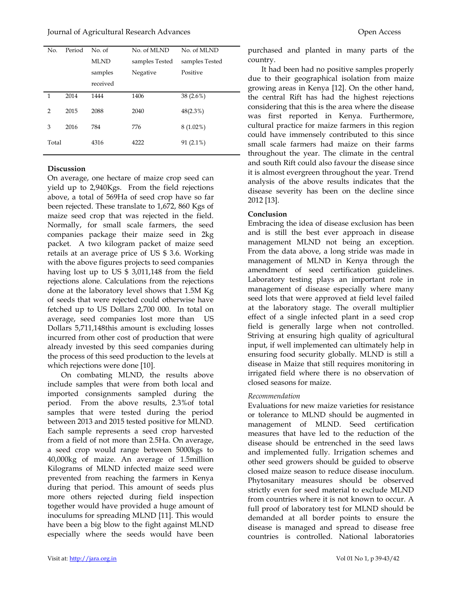| No.            | Period | No. of      | No. of MLND    | No. of MLND    |
|----------------|--------|-------------|----------------|----------------|
|                |        | <b>MLND</b> | samples Tested | samples Tested |
|                |        | samples     | Negative       | Positive       |
|                |        | received    |                |                |
| 1              | 2014   | 1444        | 1406           | 38 (2.6%)      |
| $\overline{2}$ | 2015   | 2088        | 2040           | $48(2.3\%)$    |
| 3              | 2016   | 784         | 776            | $8(1.02\%)$    |
| Total          |        | 4316        | 4222           | $91(2.1\%)$    |

#### **Discussion**

On average, one hectare of maize crop seed can yield up to 2,940Kgs. From the field rejections above, a total of 569Ha of seed crop have so far been rejected. These translate to 1,672, 860 Kgs of maize seed crop that was rejected in the field. Normally, for small scale farmers, the seed companies package their maize seed in 2kg packet. A two kilogram packet of maize seed retails at an average price of US \$ 3.6. Working with the above figures projects to seed companies having lost up to US \$ 3,011,148 from the field rejections alone. Calculations from the rejections done at the laboratory level shows that 1.5M Kg of seeds that were rejected could otherwise have fetched up to US Dollars 2,700 000. In total on average, seed companies lost more than US Dollars 5,711,148this amount is excluding losses incurred from other cost of production that were already invested by this seed companies during the process of this seed production to the levels at which rejections were done [10].

On combating MLND, the results above include samples that were from both local and imported consignments sampled during the period. From the above results, 2.3%of total samples that were tested during the period between 2013 and 2015 tested positive for MLND. Each sample represents a seed crop harvested from a field of not more than 2.5Ha. On average, a seed crop would range between 5000kgs to 40,000kg of maize. An average of 1.5million Kilograms of MLND infected maize seed were prevented from reaching the farmers in Kenya during that period. This amount of seeds plus more others rejected during field inspection together would have provided a huge amount of inoculums for spreading MLND [11]. This would have been a big blow to the fight against MLND especially where the seeds would have been purchased and planted in many parts of the country.

It had been had no positive samples properly due to their geographical isolation from maize growing areas in Kenya [12]. On the other hand, the central Rift has had the highest rejections considering that this is the area where the disease was first reported in Kenya. Furthermore, cultural practice for maize farmers in this region could have immensely contributed to this since small scale farmers had maize on their farms throughout the year. The climate in the central and south Rift could also favour the disease since it is almost evergreen throughout the year. Trend analysis of the above results indicates that the disease severity has been on the decline since 2012 [13].

#### Conclusion

Embracing the idea of disease exclusion has been and is still the best ever approach in disease management MLND not being an exception. From the data above, a long stride was made in management of MLND in Kenya through the amendment of seed certification guidelines. Laboratory testing plays an important role in management of disease especially where many seed lots that were approved at field level failed at the laboratory stage. The overall multiplier effect of a single infected plant in a seed crop field is generally large when not controlled. Striving at ensuring high quality of agricultural input, if well implemented can ultimately help in ensuring food security globally. MLND is still a disease in Maize that still requires monitoring in irrigated field where there is no observation of closed seasons for maize.

#### Recommendation

Evaluations for new maize varieties for resistance or tolerance to MLND should be augmented in management of MLND. Seed certification measures that have led to the reduction of the disease should be entrenched in the seed laws and implemented fully. Irrigation schemes and other seed growers should be guided to observe closed maize season to reduce disease inoculum. Phytosanitary measures should be observed strictly even for seed material to exclude MLND from countries where it is not known to occur. A full proof of laboratory test for MLND should be demanded at all border points to ensure the disease is managed and spread to disease free countries is controlled. National laboratories